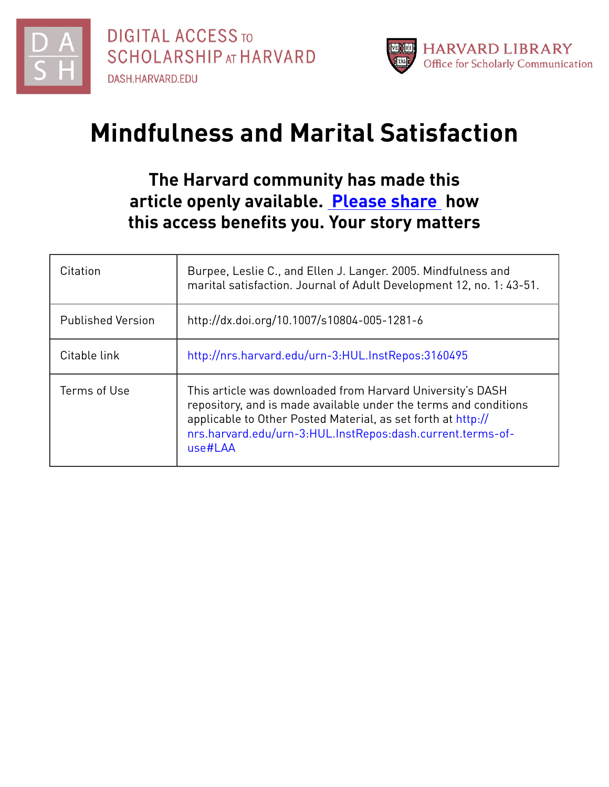



## **The Harvard community has made this article openly available. [Please](http://osc.hul.harvard.edu/dash/open-access-feedback?handle=&title=Mindfulness%20and%20Marital%20Satisfaction&community=1/1&collection=1/2&owningCollection1/2&harvardAuthors=d769101fa081e4fd3c5fcd34ee6db428&departmentPsychology) share how this access benefits you. Your story matters**

| Citation                 | Burpee, Leslie C., and Ellen J. Langer. 2005. Mindfulness and<br>marital satisfaction. Journal of Adult Development 12, no. 1: 43-51.                                                                                                                                   |
|--------------------------|-------------------------------------------------------------------------------------------------------------------------------------------------------------------------------------------------------------------------------------------------------------------------|
| <b>Published Version</b> | http://dx.doi.org/10.1007/s10804-005-1281-6                                                                                                                                                                                                                             |
| Citable link             | http://nrs.harvard.edu/urn-3:HUL.InstRepos:3160495                                                                                                                                                                                                                      |
| Terms of Use             | This article was downloaded from Harvard University's DASH<br>repository, and is made available under the terms and conditions<br>applicable to Other Posted Material, as set forth at http://<br>nrs.harvard.edu/urn-3:HUL.InstRepos:dash.current.terms-of-<br>use#LAA |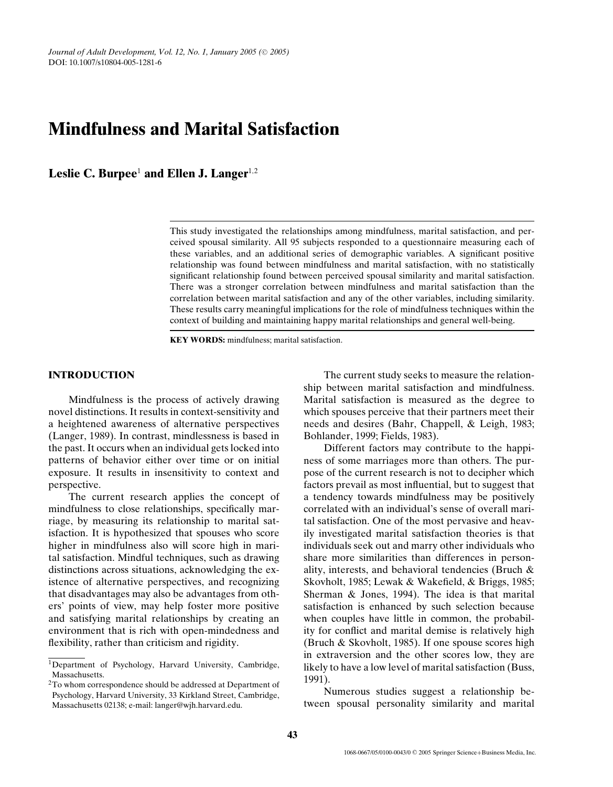Leslie C. Burpee<sup>1</sup> and Ellen J. Langer<sup>1,2</sup>

This study investigated the relationships among mindfulness, marital satisfaction, and perceived spousal similarity. All 95 subjects responded to a questionnaire measuring each of these variables, and an additional series of demographic variables. A significant positive relationship was found between mindfulness and marital satisfaction, with no statistically significant relationship found between perceived spousal similarity and marital satisfaction. There was a stronger correlation between mindfulness and marital satisfaction than the correlation between marital satisfaction and any of the other variables, including similarity. These results carry meaningful implications for the role of mindfulness techniques within the context of building and maintaining happy marital relationships and general well-being.

**KEY WORDS:** mindfulness; marital satisfaction.

#### **INTRODUCTION**

Mindfulness is the process of actively drawing novel distinctions. It results in context-sensitivity and a heightened awareness of alternative perspectives (Langer, 1989). In contrast, mindlessness is based in the past. It occurs when an individual gets locked into patterns of behavior either over time or on initial exposure. It results in insensitivity to context and perspective.

The current research applies the concept of mindfulness to close relationships, specifically marriage, by measuring its relationship to marital satisfaction. It is hypothesized that spouses who score higher in mindfulness also will score high in marital satisfaction. Mindful techniques, such as drawing distinctions across situations, acknowledging the existence of alternative perspectives, and recognizing that disadvantages may also be advantages from others' points of view, may help foster more positive and satisfying marital relationships by creating an environment that is rich with open-mindedness and flexibility, rather than criticism and rigidity.

The current study seeks to measure the relationship between marital satisfaction and mindfulness. Marital satisfaction is measured as the degree to which spouses perceive that their partners meet their needs and desires (Bahr, Chappell, & Leigh, 1983; Bohlander, 1999; Fields, 1983).

Different factors may contribute to the happiness of some marriages more than others. The purpose of the current research is not to decipher which factors prevail as most influential, but to suggest that a tendency towards mindfulness may be positively correlated with an individual's sense of overall marital satisfaction. One of the most pervasive and heavily investigated marital satisfaction theories is that individuals seek out and marry other individuals who share more similarities than differences in personality, interests, and behavioral tendencies (Bruch & Skovholt, 1985; Lewak & Wakefield, & Briggs, 1985; Sherman & Jones, 1994). The idea is that marital satisfaction is enhanced by such selection because when couples have little in common, the probability for conflict and marital demise is relatively high (Bruch & Skovholt, 1985). If one spouse scores high in extraversion and the other scores low, they are likely to have a low level of marital satisfaction (Buss, 1991).

Numerous studies suggest a relationship between spousal personality similarity and marital

<sup>&</sup>lt;sup>1</sup>Department of Psychology, Harvard University, Cambridge, Massachusetts.

<sup>2</sup>To whom correspondence should be addressed at Department of Psychology, Harvard University, 33 Kirkland Street, Cambridge, Massachusetts 02138; e-mail: langer@wjh.harvard.edu.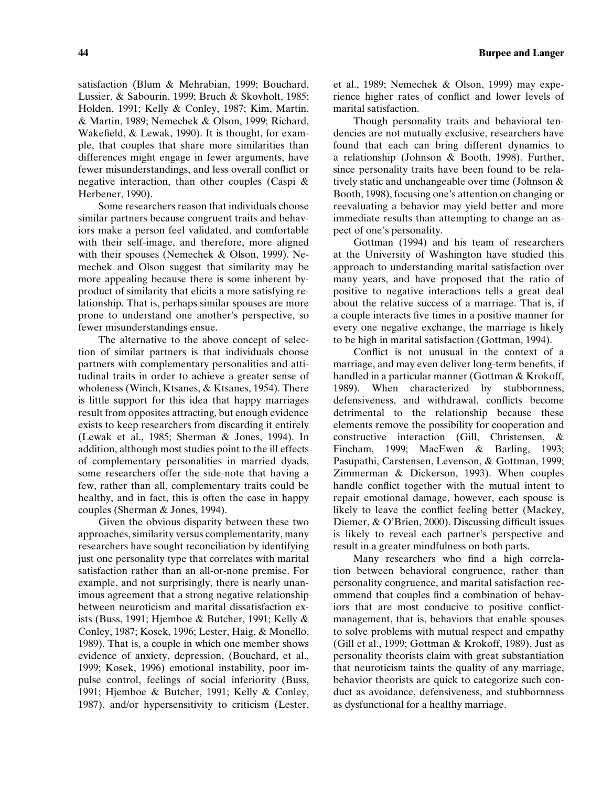satisfaction (Blum & Mehrabian, 1999; Bouchard, Lussier, & Sabourin, 1999; Bruch & Skovholt, 1985; Holden, 1991; Kelly & Conley, 1987; Kim, Martin, & Martin, 1989; Nemechek & Olson, 1999; Richard, Wakefield, & Lewak, 1990). It is thought, for example, that couples that share more similarities than differences might engage in fewer arguments, have fewer misunderstandings, and less overall conflict or negative interaction, than other couples (Caspi & Herbener, 1990).

Some researchers reason that individuals choose similar partners because congruent traits and behaviors make a person feel validated, and comfortable with their self-image, and therefore, more aligned with their spouses (Nemechek & Olson, 1999). Nemechek and Olson suggest that similarity may be more appealing because there is some inherent byproduct of similarity that elicits a more satisfying relationship. That is, perhaps similar spouses are more prone to understand one another's perspective, so fewer misunderstandings ensue.

The alternative to the above concept of selection of similar partners is that individuals choose partners with complementary personalities and attitudinal traits in order to achieve a greater sense of wholeness (Winch, Ktsanes, & Ktsanes, 1954). There is little support for this idea that happy marriages result from opposites attracting, but enough evidence exists to keep researchers from discarding it entirely (Lewak et al., 1985; Sherman & Jones, 1994). In addition, although most studies point to the ill effects of complementary personalities in married dyads, some researchers offer the side-note that having a few, rather than all, complementary traits could be healthy, and in fact, this is often the case in happy couples (Sherman & Jones, 1994).

Given the obvious disparity between these two approaches, similarity versus complementarity, many researchers have sought reconciliation by identifying just one personality type that correlates with marital satisfaction rather than an all-or-none premise. For example, and not surprisingly, there is nearly unanimous agreement that a strong negative relationship between neuroticism and marital dissatisfaction exists (Buss, 1991; Hjemboe & Butcher, 1991; Kelly & Conley, 1987; Kosek, 1996; Lester, Haig, & Monello, 1989). That is, a couple in which one member shows evidence of anxiety, depression, (Bouchard, et al., 1999; Kosek, 1996) emotional instability, poor impulse control, feelings of social inferiority (Buss, 1991; Hjemboe & Butcher, 1991; Kelly & Conley, 1987), and/or hypersensitivity to criticism (Lester, et al., 1989; Nemechek & Olson, 1999) may experience higher rates of conflict and lower levels of marital satisfaction.

Though personality traits and behavioral tendencies are not mutually exclusive, researchers have found that each can bring different dynamics to a relationship (Johnson & Booth, 1998). Further, since personality traits have been found to be relatively static and unchangeable over time (Johnson & Booth, 1998), focusing one's attention on changing or reevaluating a behavior may yield better and more immediate results than attempting to change an aspect of one's personality.

Gottman (1994) and his team of researchers at the University of Washington have studied this approach to understanding marital satisfaction over many years, and have proposed that the ratio of positive to negative interactions tells a great deal about the relative success of a marriage. That is, if a couple interacts five times in a positive manner for every one negative exchange, the marriage is likely to be high in marital satisfaction (Gottman, 1994).

Conflict is not unusual in the context of a marriage, and may even deliver long-term benefits, if handled in a particular manner (Gottman & Krokoff, 1989). When characterized by stubbornness, defensiveness, and withdrawal, conflicts become detrimental to the relationship because these elements remove the possibility for cooperation and constructive interaction (Gill, Christensen, & Fincham, 1999; MacEwen & Barling, 1993; Pasupathi, Carstensen, Levenson, & Gottman, 1999; Zimmerman & Dickerson, 1993). When couples handle conflict together with the mutual intent to repair emotional damage, however, each spouse is likely to leave the conflict feeling better (Mackey, Diemer, & O'Brien, 2000). Discussing difficult issues is likely to reveal each partner's perspective and result in a greater mindfulness on both parts.

Many researchers who find a high correlation between behavioral congruence, rather than personality congruence, and marital satisfaction recommend that couples find a combination of behaviors that are most conducive to positive conflictmanagement, that is, behaviors that enable spouses to solve problems with mutual respect and empathy (Gill et al., 1999; Gottman & Krokoff, 1989). Just as personality theorists claim with great substantiation that neuroticism taints the quality of any marriage, behavior theorists are quick to categorize such conduct as avoidance, defensiveness, and stubbornness as dysfunctional for a healthy marriage.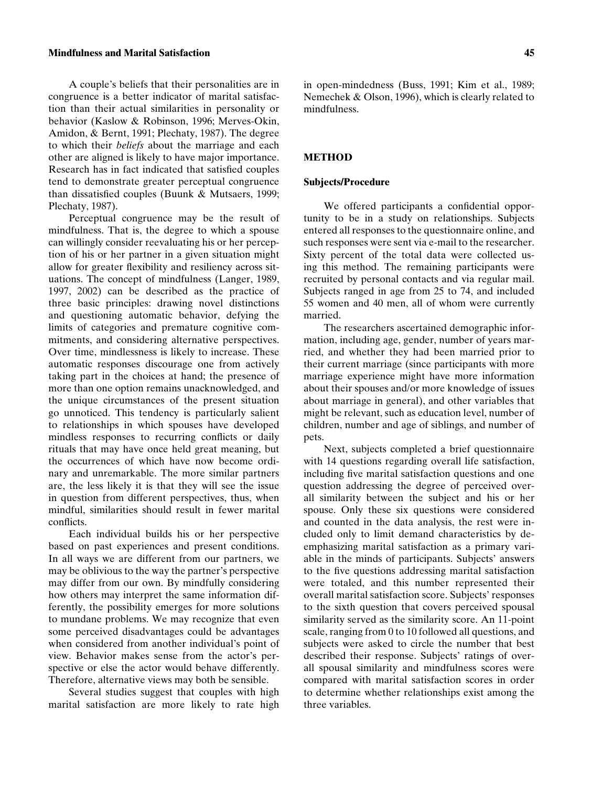A couple's beliefs that their personalities are in congruence is a better indicator of marital satisfaction than their actual similarities in personality or behavior (Kaslow & Robinson, 1996; Merves-Okin, Amidon, & Bernt, 1991; Plechaty, 1987). The degree to which their *beliefs* about the marriage and each other are aligned is likely to have major importance. Research has in fact indicated that satisfied couples tend to demonstrate greater perceptual congruence than dissatisfied couples (Buunk & Mutsaers, 1999; Plechaty, 1987).

Perceptual congruence may be the result of mindfulness. That is, the degree to which a spouse can willingly consider reevaluating his or her perception of his or her partner in a given situation might allow for greater flexibility and resiliency across situations. The concept of mindfulness (Langer, 1989, 1997, 2002) can be described as the practice of three basic principles: drawing novel distinctions and questioning automatic behavior, defying the limits of categories and premature cognitive commitments, and considering alternative perspectives. Over time, mindlessness is likely to increase. These automatic responses discourage one from actively taking part in the choices at hand; the presence of more than one option remains unacknowledged, and the unique circumstances of the present situation go unnoticed. This tendency is particularly salient to relationships in which spouses have developed mindless responses to recurring conflicts or daily rituals that may have once held great meaning, but the occurrences of which have now become ordinary and unremarkable. The more similar partners are, the less likely it is that they will see the issue in question from different perspectives, thus, when mindful, similarities should result in fewer marital conflicts.

Each individual builds his or her perspective based on past experiences and present conditions. In all ways we are different from our partners, we may be oblivious to the way the partner's perspective may differ from our own. By mindfully considering how others may interpret the same information differently, the possibility emerges for more solutions to mundane problems. We may recognize that even some perceived disadvantages could be advantages when considered from another individual's point of view. Behavior makes sense from the actor's perspective or else the actor would behave differently. Therefore, alternative views may both be sensible.

Several studies suggest that couples with high marital satisfaction are more likely to rate high in open-mindedness (Buss, 1991; Kim et al., 1989; Nemechek & Olson, 1996), which is clearly related to mindfulness.

#### **METHOD**

#### **Subjects/Procedure**

We offered participants a confidential opportunity to be in a study on relationships. Subjects entered all responses to the questionnaire online, and such responses were sent via e-mail to the researcher. Sixty percent of the total data were collected using this method. The remaining participants were recruited by personal contacts and via regular mail. Subjects ranged in age from 25 to 74, and included 55 women and 40 men, all of whom were currently married.

The researchers ascertained demographic information, including age, gender, number of years married, and whether they had been married prior to their current marriage (since participants with more marriage experience might have more information about their spouses and/or more knowledge of issues about marriage in general), and other variables that might be relevant, such as education level, number of children, number and age of siblings, and number of pets.

Next, subjects completed a brief questionnaire with 14 questions regarding overall life satisfaction, including five marital satisfaction questions and one question addressing the degree of perceived overall similarity between the subject and his or her spouse. Only these six questions were considered and counted in the data analysis, the rest were included only to limit demand characteristics by deemphasizing marital satisfaction as a primary variable in the minds of participants. Subjects' answers to the five questions addressing marital satisfaction were totaled, and this number represented their overall marital satisfaction score. Subjects' responses to the sixth question that covers perceived spousal similarity served as the similarity score. An 11-point scale, ranging from 0 to 10 followed all questions, and subjects were asked to circle the number that best described their response. Subjects' ratings of overall spousal similarity and mindfulness scores were compared with marital satisfaction scores in order to determine whether relationships exist among the three variables.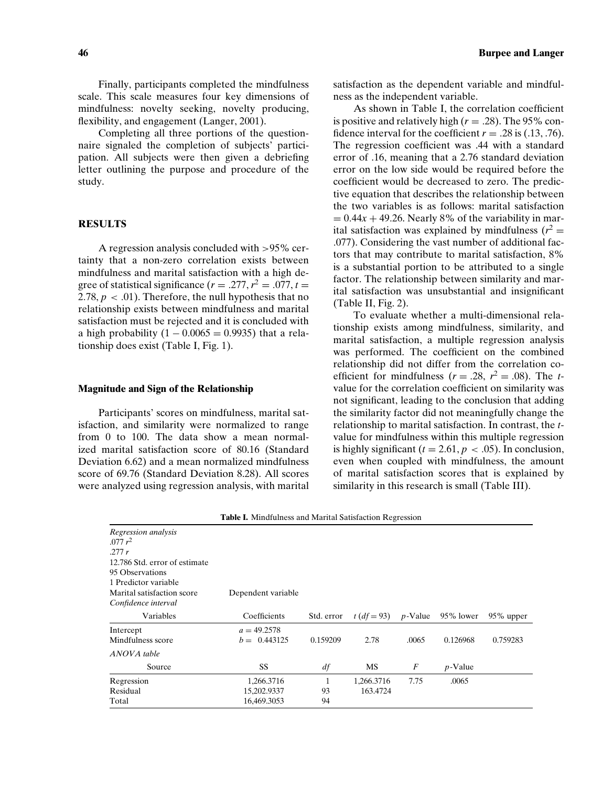Finally, participants completed the mindfulness scale. This scale measures four key dimensions of mindfulness: novelty seeking, novelty producing, flexibility, and engagement (Langer, 2001).

Completing all three portions of the questionnaire signaled the completion of subjects' participation. All subjects were then given a debriefing letter outlining the purpose and procedure of the study.

#### **RESULTS**

A regression analysis concluded with *>*95% certainty that a non-zero correlation exists between mindfulness and marital satisfaction with a high degree of statistical significance ( $r = .277$ ,  $r^2 = .077$ ,  $t =$ 2.78,  $p < .01$ ). Therefore, the null hypothesis that no relationship exists between mindfulness and marital satisfaction must be rejected and it is concluded with a high probability  $(1 - 0.0065 = 0.9935)$  that a relationship does exist (Table I, Fig. 1).

#### **Magnitude and Sign of the Relationship**

Participants' scores on mindfulness, marital satisfaction, and similarity were normalized to range from 0 to 100. The data show a mean normalized marital satisfaction score of 80.16 (Standard Deviation 6.62) and a mean normalized mindfulness score of 69.76 (Standard Deviation 8.28). All scores were analyzed using regression analysis, with marital

**46 Burpee and Langer**

satisfaction as the dependent variable and mindfulness as the independent variable.

As shown in Table I, the correlation coefficient is positive and relatively high  $(r = .28)$ . The 95% confidence interval for the coefficient  $r = .28$  is  $(.13, .76)$ . The regression coefficient was .44 with a standard error of .16, meaning that a 2.76 standard deviation error on the low side would be required before the coefficient would be decreased to zero. The predictive equation that describes the relationship between the two variables is as follows: marital satisfaction  $= 0.44x + 49.26$ . Nearly 8% of the variability in marital satisfaction was explained by mindfulness  $(r^2 =$ *.*077). Considering the vast number of additional factors that may contribute to marital satisfaction, 8% is a substantial portion to be attributed to a single factor. The relationship between similarity and marital satisfaction was unsubstantial and insignificant (Table II, Fig. 2).

To evaluate whether a multi-dimensional relationship exists among mindfulness, similarity, and marital satisfaction, a multiple regression analysis was performed. The coefficient on the combined relationship did not differ from the correlation coefficient for mindfulness ( $r = .28$ ,  $r^2 = .08$ ). The *t*value for the correlation coefficient on similarity was not significant, leading to the conclusion that adding the similarity factor did not meaningfully change the relationship to marital satisfaction. In contrast, the *t*value for mindfulness within this multiple regression is highly significant  $(t = 2.61, p < .05)$ . In conclusion, even when coupled with mindfulness, the amount of marital satisfaction scores that is explained by similarity in this research is small (Table III).

| <b>Table I.</b> Mindfulness and Marital Satisfaction Regression                                                        |                    |            |               |            |            |           |  |  |
|------------------------------------------------------------------------------------------------------------------------|--------------------|------------|---------------|------------|------------|-----------|--|--|
| Regression analysis<br>$.077 r^2$<br>.277r<br>12.786 Std. error of estimate<br>95 Observations<br>1 Predictor variable |                    |            |               |            |            |           |  |  |
| Marital satisfaction score                                                                                             | Dependent variable |            |               |            |            |           |  |  |
| Confidence interval                                                                                                    |                    |            |               |            |            |           |  |  |
| Variables                                                                                                              | Coefficients       | Std. error | $t (df = 93)$ | $p$ -Value | 95% lower  | 95% upper |  |  |
| Intercept                                                                                                              | $a = 49.2578$      |            |               |            |            |           |  |  |
| Mindfulness score                                                                                                      | $b = 0.443125$     | 0.159209   | 2.78          | .0065      | 0.126968   | 0.759283  |  |  |
| ANOVA table                                                                                                            |                    |            |               |            |            |           |  |  |
| Source                                                                                                                 | <b>SS</b>          | df         | MS            | F          | $p$ -Value |           |  |  |
| Regression                                                                                                             | 1,266.3716         |            | 1,266.3716    | 7.75       | .0065      |           |  |  |
| Residual                                                                                                               | 15,202.9337        | 93         | 163.4724      |            |            |           |  |  |
| Total                                                                                                                  | 16,469.3053        | 94         |               |            |            |           |  |  |

**Table I.** Mindfulness and Marital Satisfaction Regression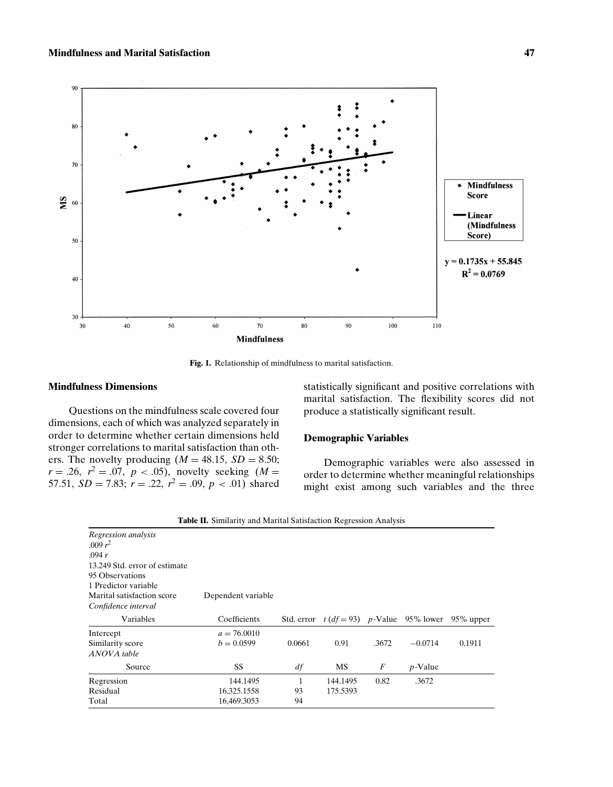

**Fig. 1.** Relationship of mindfulness to marital satisfaction.

#### **Mindfulness Dimensions**

Questions on the mindfulness scale covered four dimensions, each of which was analyzed separately in order to determine whether certain dimensions held stronger correlations to marital satisfaction than others. The novelty producing  $(M = 48.15, SD = 8.50;$  $r = .26$ ,  $r^2 = .07$ ,  $p < .05$ ), novelty seeking (*M* = 57.51,  $SD = 7.83$ ;  $r = .22$ ,  $r^2 = .09$ ,  $p < .01$ ) shared

statistically significant and positive correlations with marital satisfaction. The flexibility scores did not produce a statistically significant result.

#### **Demographic Variables**

Demographic variables were also assessed in order to determine whether meaningful relationships might exist among such variables and the three

| Regression analysis           |                    |            |          |       |                                 |           |
|-------------------------------|--------------------|------------|----------|-------|---------------------------------|-----------|
| .009 $r^2$                    |                    |            |          |       |                                 |           |
| .094r                         |                    |            |          |       |                                 |           |
| 13.249 Std. error of estimate |                    |            |          |       |                                 |           |
| 95 Observations               |                    |            |          |       |                                 |           |
| 1 Predictor variable          |                    |            |          |       |                                 |           |
| Marital satisfaction score    | Dependent variable |            |          |       |                                 |           |
| Confidence interval           |                    |            |          |       |                                 |           |
| Variables                     | Coefficients       | Std. error |          |       | $t (df = 93)$ p-Value 95% lower | 95% upper |
| Intercept                     | $a = 76.0010$      |            |          |       |                                 |           |
| Similarity score              | $b = 0.0599$       | 0.0661     | 0.91     | .3672 | $-0.0714$                       | 0.1911    |
| ANOVA table                   |                    |            |          |       |                                 |           |
| Source                        | <b>SS</b>          | df         | MS       | F     | $p$ -Value                      |           |
| Regression                    | 144.1495           |            | 144.1495 | 0.82  | .3672                           |           |
| Residual                      | 16,325.1558        | 93         | 175.5393 |       |                                 |           |
| Total                         | 16,469.3053        | 94         |          |       |                                 |           |

**Table II.** Similarity and Marital Satisfaction Regression Analysis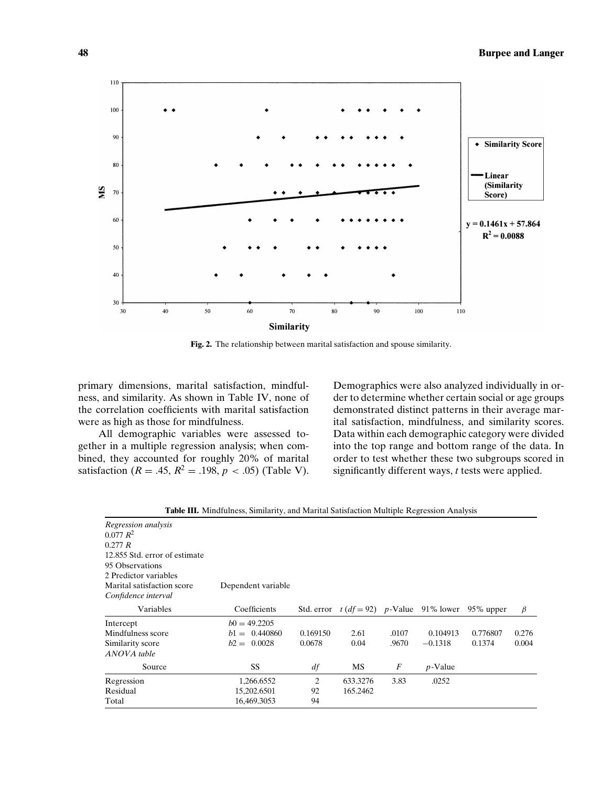

**Fig. 2.** The relationship between marital satisfaction and spouse similarity.

primary dimensions, marital satisfaction, mindfulness, and similarity. As shown in Table IV, none of the correlation coefficients with marital satisfaction were as high as those for mindfulness.

All demographic variables were assessed together in a multiple regression analysis; when combined, they accounted for roughly 20% of marital satisfaction ( $R = .45$ ,  $R^2 = .198$ ,  $p < .05$ ) (Table V). Demographics were also analyzed individually in order to determine whether certain social or age groups demonstrated distinct patterns in their average marital satisfaction, mindfulness, and similarity scores. Data within each demographic category were divided into the top range and bottom range of the data. In order to test whether these two subgroups scored in significantly different ways, *t* tests were applied.

| <b>Table III.</b> Mindfunness, Shimarity, and Marital Sausiaction Multiple Regression Analysis                                                                                  |                                                        |                    |                      |                |                                 |                    |                |  |  |  |
|---------------------------------------------------------------------------------------------------------------------------------------------------------------------------------|--------------------------------------------------------|--------------------|----------------------|----------------|---------------------------------|--------------------|----------------|--|--|--|
| Regression analysis<br>$0.077 R^2$<br>0.277 R<br>12.855 Std. error of estimate<br>95 Observations<br>2 Predictor variables<br>Marital satisfaction score<br>Confidence interval | Dependent variable                                     |                    |                      |                |                                 |                    |                |  |  |  |
| Variables                                                                                                                                                                       | Coefficients                                           | Std. error         |                      |                | $t (df = 92)$ p-Value 91% lower | $95\%$ upper       | $\beta$        |  |  |  |
| Intercept<br>Mindfulness score<br>Similarity score<br>ANOVA table                                                                                                               | $b0 = 49.2205$<br>0.440860<br>$h^1 =$<br>$b2 = 0.0028$ | 0.169150<br>0.0678 | 2.61<br>0.04         | .0107<br>.9670 | 0.104913<br>$-0.1318$           | 0.776807<br>0.1374 | 0.276<br>0.004 |  |  |  |
| Source                                                                                                                                                                          | SS                                                     | df                 | MS                   | F              | $p$ -Value                      |                    |                |  |  |  |
| Regression<br>Residual<br>Total                                                                                                                                                 | 1,266.6552<br>15,202.6501<br>16,469.3053               | 2<br>92<br>94      | 633.3276<br>165.2462 | 3.83           | .0252                           |                    |                |  |  |  |

**Table III.** Mindfulness, Similarity, and Marital Satisfaction Multiple Regression Analysis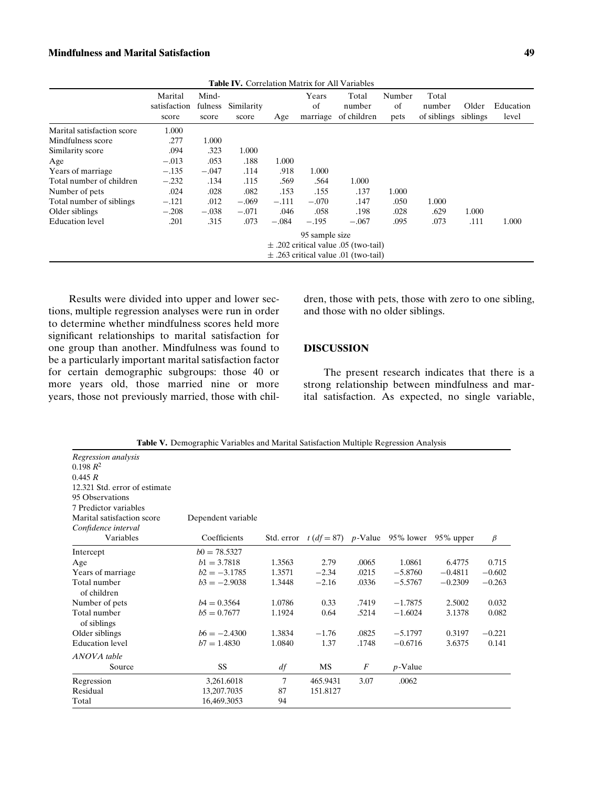| <b>Table IV.</b> Correlation Matrix for All Variables                |                                                                                                        |                           |                         |                         |                         |                                |                      |                                |                   |                    |
|----------------------------------------------------------------------|--------------------------------------------------------------------------------------------------------|---------------------------|-------------------------|-------------------------|-------------------------|--------------------------------|----------------------|--------------------------------|-------------------|--------------------|
|                                                                      | Marital<br>satisfaction<br>score                                                                       | Mind-<br>fulness<br>score | Similarity<br>score     | Age                     | Years<br>of<br>marriage | Total<br>number<br>of children | Number<br>of<br>pets | Total<br>number<br>of siblings | Older<br>siblings | Education<br>level |
| Marital satisfaction score<br>Mindfulness score<br>Similarity score  | 1.000<br>.277<br>.094                                                                                  | 1.000<br>.323             | 1.000                   |                         |                         |                                |                      |                                |                   |                    |
| Age<br>Years of marriage                                             | $-.013$<br>$-.135$                                                                                     | .053<br>$-.047$           | .188<br>.114            | 1.000<br>.918           | 1.000                   |                                |                      |                                |                   |                    |
| Total number of children<br>Number of pets                           | $-.232$<br>.024<br>$-.121$                                                                             | .134<br>.028<br>.012      | .115<br>.082<br>$-.069$ | .569<br>.153<br>$-.111$ | .564<br>.155<br>$-.070$ | 1.000<br>.137<br>.147          | 1.000                | 1.000                          |                   |                    |
| Total number of siblings<br>Older siblings<br><b>Education</b> level | $-.208$<br>.201                                                                                        | $-.038$<br>.315           | $-.071$<br>.073         | .046<br>$-.084$         | .058<br>$-.195$         | .198<br>$-.067$                | .050<br>.028<br>.095 | .629<br>.073                   | 1.000<br>.111     | 1.000              |
|                                                                      | 95 sample size<br>$\pm$ .202 critical value .05 (two-tail)<br>$\pm$ .263 critical value .01 (two-tail) |                           |                         |                         |                         |                                |                      |                                |                   |                    |

**Table IV.** Correlation Matrix for All Variables

Results were divided into upper and lower sections, multiple regression analyses were run in order to determine whether mindfulness scores held more significant relationships to marital satisfaction for one group than another. Mindfulness was found to be a particularly important marital satisfaction factor for certain demographic subgroups: those 40 or more years old, those married nine or more years, those not previously married, those with children, those with pets, those with zero to one sibling, and those with no older siblings.

#### **DISCUSSION**

The present research indicates that there is a strong relationship between mindfulness and marital satisfaction. As expected, no single variable,

|                                                     | <b>Table V.</b> Demographic Variables and Marital Sausiaction Multiple Regression Analysis |            |          |       |                                 |           |          |
|-----------------------------------------------------|--------------------------------------------------------------------------------------------|------------|----------|-------|---------------------------------|-----------|----------|
| Regression analysis<br>$0.198 R^2$<br>0.445 R       |                                                                                            |            |          |       |                                 |           |          |
| 12.321 Std. error of estimate                       |                                                                                            |            |          |       |                                 |           |          |
| 95 Observations                                     |                                                                                            |            |          |       |                                 |           |          |
| 7 Predictor variables<br>Marital satisfaction score |                                                                                            |            |          |       |                                 |           |          |
|                                                     | Dependent variable                                                                         |            |          |       |                                 |           |          |
| Confidence interval<br>Variables                    | Coefficients                                                                               | Std. error |          |       | $t (df = 87)$ p-Value 95% lower | 95% upper | $\beta$  |
| Intercept                                           | $b0 = 78.5327$                                                                             |            |          |       |                                 |           |          |
| Age                                                 | $b1 = 3.7818$                                                                              | 1.3563     | 2.79     | .0065 | 1.0861                          | 6.4775    | 0.715    |
| Years of marriage                                   | $b2 = -3.1785$                                                                             | 1.3571     | $-2.34$  | .0215 | $-5.8760$                       | $-0.4811$ | $-0.602$ |
| Total number<br>of children                         | $b3 = -2.9038$                                                                             | 1.3448     | $-2.16$  | .0336 | $-5.5767$                       | $-0.2309$ | $-0.263$ |
| Number of pets                                      | $b4 = 0.3564$                                                                              | 1.0786     | 0.33     | .7419 | $-1.7875$                       | 2.5002    | 0.032    |
| Total number<br>of siblings                         | $b5 = 0.7677$                                                                              | 1.1924     | 0.64     | .5214 | $-1.6024$                       | 3.1378    | 0.082    |
| Older siblings                                      | $b6 = -2.4300$                                                                             | 1.3834     | $-1.76$  | .0825 | $-5.1797$                       | 0.3197    | $-0.221$ |
| <b>Education</b> level                              | $b7 = 1.4830$                                                                              | 1.0840     | 1.37     | .1748 | $-0.6716$                       | 3.6375    | 0.141    |
| ANOVA table                                         |                                                                                            |            |          |       |                                 |           |          |
| Source                                              | SS                                                                                         | df         | MS       | F     | $p$ -Value                      |           |          |
| Regression                                          | 3,261.6018                                                                                 | 7          | 465.9431 | 3.07  | .0062                           |           |          |
| Residual                                            | 13,207.7035                                                                                | 87         | 151.8127 |       |                                 |           |          |
| Total                                               | 16,469.3053                                                                                | 94         |          |       |                                 |           |          |

**Table V.** Demographic Variables and Marital Satisfaction Multiple Regression Analysis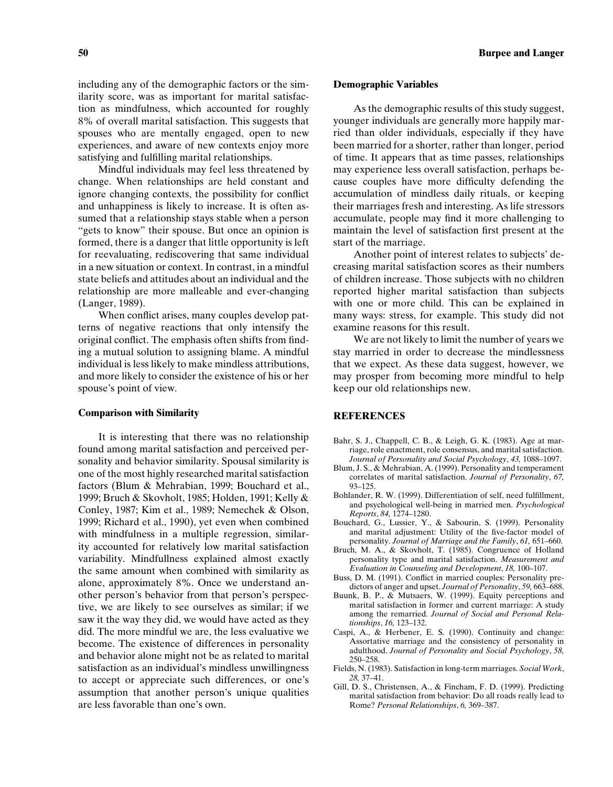including any of the demographic factors or the similarity score, was as important for marital satisfaction as mindfulness, which accounted for roughly 8% of overall marital satisfaction. This suggests that spouses who are mentally engaged, open to new experiences, and aware of new contexts enjoy more satisfying and fulfilling marital relationships.

Mindful individuals may feel less threatened by change. When relationships are held constant and ignore changing contexts, the possibility for conflict and unhappiness is likely to increase. It is often assumed that a relationship stays stable when a person "gets to know" their spouse. But once an opinion is formed, there is a danger that little opportunity is left for reevaluating, rediscovering that same individual in a new situation or context. In contrast, in a mindful state beliefs and attitudes about an individual and the relationship are more malleable and ever-changing (Langer, 1989).

When conflict arises, many couples develop patterns of negative reactions that only intensify the original conflict. The emphasis often shifts from finding a mutual solution to assigning blame. A mindful individual is less likely to make mindless attributions, and more likely to consider the existence of his or her spouse's point of view.

#### **Comparison with Similarity**

It is interesting that there was no relationship found among marital satisfaction and perceived personality and behavior similarity. Spousal similarity is one of the most highly researched marital satisfaction factors (Blum & Mehrabian, 1999; Bouchard et al., 1999; Bruch & Skovholt, 1985; Holden, 1991; Kelly & Conley, 1987; Kim et al., 1989; Nemechek & Olson, 1999; Richard et al., 1990), yet even when combined with mindfulness in a multiple regression, similarity accounted for relatively low marital satisfaction variability. Mindfullness explained almost exactly the same amount when combined with similarity as alone, approximately 8%. Once we understand another person's behavior from that person's perspective, we are likely to see ourselves as similar; if we saw it the way they did, we would have acted as they did. The more mindful we are, the less evaluative we become. The existence of differences in personality and behavior alone might not be as related to marital satisfaction as an individual's mindless unwillingness to accept or appreciate such differences, or one's assumption that another person's unique qualities are less favorable than one's own.

#### **Demographic Variables**

As the demographic results of this study suggest, younger individuals are generally more happily married than older individuals, especially if they have been married for a shorter, rather than longer, period of time. It appears that as time passes, relationships may experience less overall satisfaction, perhaps because couples have more difficulty defending the accumulation of mindless daily rituals, or keeping their marriages fresh and interesting. As life stressors accumulate, people may find it more challenging to maintain the level of satisfaction first present at the start of the marriage.

Another point of interest relates to subjects' decreasing marital satisfaction scores as their numbers of children increase. Those subjects with no children reported higher marital satisfaction than subjects with one or more child. This can be explained in many ways: stress, for example. This study did not examine reasons for this result.

We are not likely to limit the number of years we stay married in order to decrease the mindlessness that we expect. As these data suggest, however, we may prosper from becoming more mindful to help keep our old relationships new.

#### **REFERENCES**

- Bahr, S. J., Chappell, C. B., & Leigh, G. K. (1983). Age at marriage, role enactment, role consensus, and marital satisfaction. *Journal of Personality and Social Psychology*, *43,* 1088–1097.
- Blum, J. S., & Mehrabian, A. (1999). Personality and temperament correlates of marital satisfaction. *Journal of Personality*, *67,* 93–125.
- Bohlander, R. W. (1999). Differentiation of self, need fulfillment, and psychological well-being in married men. *Psychological Reports*, *84,* 1274–1280.
- Bouchard, G., Lussier, Y., & Sabourin, S. (1999). Personality and marital adjustment: Utility of the five-factor model of personality. *Journal of Marriage and the Family*, *61,* 651–660.
- Bruch, M. A., & Skovholt, T. (1985). Congruence of Holland personality type and marital satisfaction. *Measurement and Evaluation in Counseling and Development*, *18,* 100–107.
- Buss, D. M. (1991). Conflict in married couples: Personality predictors of anger and upset. *Journal of Personality*, *59,* 663–688.
- Buunk, B. P., & Mutsaers, W. (1999). Equity perceptions and marital satisfaction in former and current marriage: A study among the remarried*. Journal of Social and Personal Relationships*, *16,* 123–132.
- Caspi, A., & Herbener, E. S. (1990). Continuity and change: Assortative marriage and the consistency of personality in adulthood. *Journal of Personality and Social Psychology*, *58,* 250–258.
- Fields, N. (1983). Satisfaction in long-term marriages. *Social Work*, *28,* 37–41.
- Gill, D. S., Christensen, A., & Fincham, F. D. (1999). Predicting marital satisfaction from behavior: Do all roads really lead to Rome? *Personal Relationships*, *6,* 369–387.